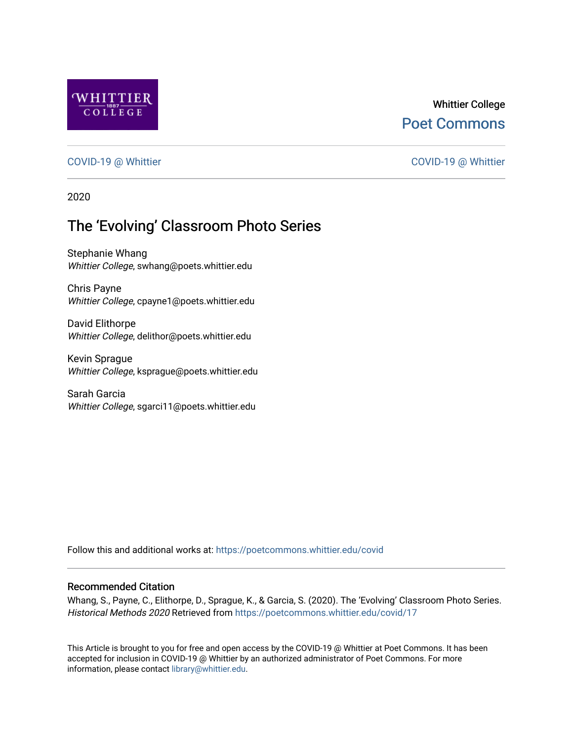

## Whittier College [Poet Commons](https://poetcommons.whittier.edu/)

### [COVID-19 @ Whittier](https://poetcommons.whittier.edu/covid) [COVID-19 @ Whittier](https://poetcommons.whittier.edu/covid_whittier)

2020

# The 'Evolving' Classroom Photo Series

Stephanie Whang Whittier College, swhang@poets.whittier.edu

Chris Payne Whittier College, cpayne1@poets.whittier.edu

David Elithorpe Whittier College, delithor@poets.whittier.edu

Kevin Sprague Whittier College, ksprague@poets.whittier.edu

Sarah Garcia Whittier College, sgarci11@poets.whittier.edu

Follow this and additional works at: [https://poetcommons.whittier.edu/covid](https://poetcommons.whittier.edu/covid?utm_source=poetcommons.whittier.edu%2Fcovid%2F17&utm_medium=PDF&utm_campaign=PDFCoverPages)

#### Recommended Citation

Whang, S., Payne, C., Elithorpe, D., Sprague, K., & Garcia, S. (2020). The 'Evolving' Classroom Photo Series. Historical Methods 2020 Retrieved from [https://poetcommons.whittier.edu/covid/17](https://poetcommons.whittier.edu/covid/17?utm_source=poetcommons.whittier.edu%2Fcovid%2F17&utm_medium=PDF&utm_campaign=PDFCoverPages) 

This Article is brought to you for free and open access by the COVID-19 @ Whittier at Poet Commons. It has been accepted for inclusion in COVID-19 @ Whittier by an authorized administrator of Poet Commons. For more information, please contact [library@whittier.edu.](mailto:library@whittier.edu)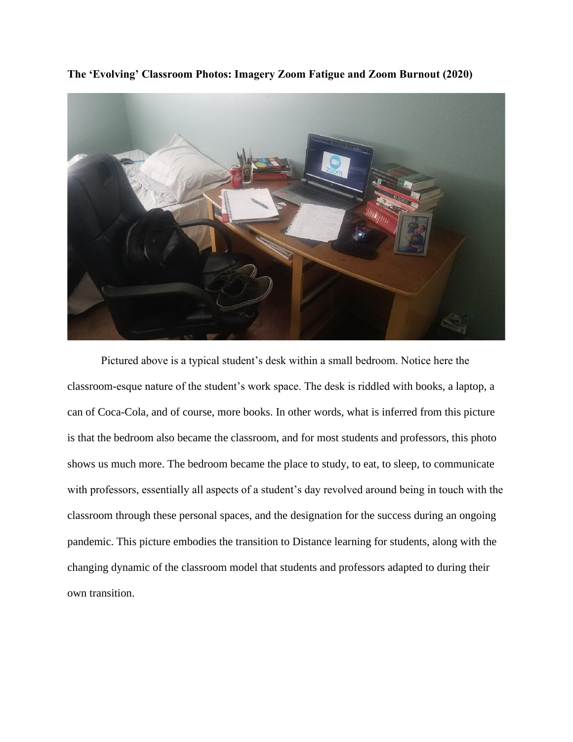

**The 'Evolving' Classroom Photos: Imagery Zoom Fatigue and Zoom Burnout (2020)**

Pictured above is a typical student's desk within a small bedroom. Notice here the classroom-esque nature of the student's work space. The desk is riddled with books, a laptop, a can of Coca-Cola, and of course, more books. In other words, what is inferred from this picture is that the bedroom also became the classroom, and for most students and professors, this photo shows us much more. The bedroom became the place to study, to eat, to sleep, to communicate with professors, essentially all aspects of a student's day revolved around being in touch with the classroom through these personal spaces, and the designation for the success during an ongoing pandemic. This picture embodies the transition to Distance learning for students, along with the changing dynamic of the classroom model that students and professors adapted to during their own transition.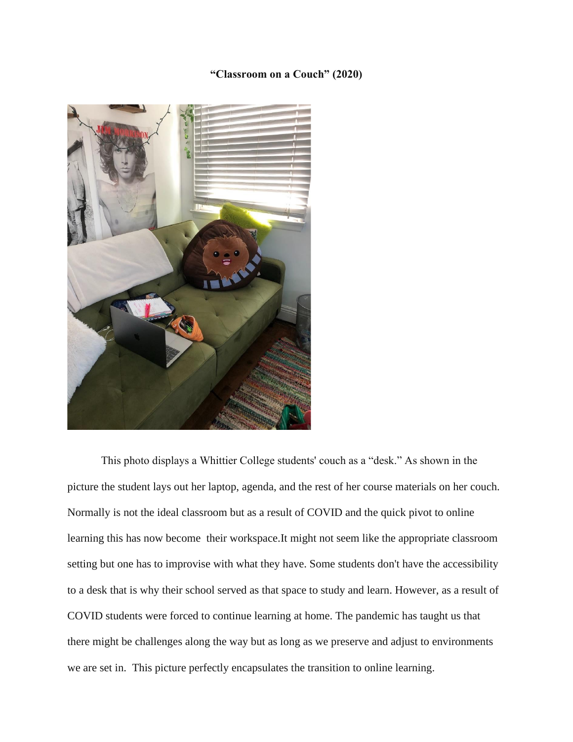## **"Classroom on a Couch" (2020)**



This photo displays a Whittier College students' couch as a "desk." As shown in the picture the student lays out her laptop, agenda, and the rest of her course materials on her couch. Normally is not the ideal classroom but as a result of COVID and the quick pivot to online learning this has now become their workspace.It might not seem like the appropriate classroom setting but one has to improvise with what they have. Some students don't have the accessibility to a desk that is why their school served as that space to study and learn. However, as a result of COVID students were forced to continue learning at home. The pandemic has taught us that there might be challenges along the way but as long as we preserve and adjust to environments we are set in. This picture perfectly encapsulates the transition to online learning.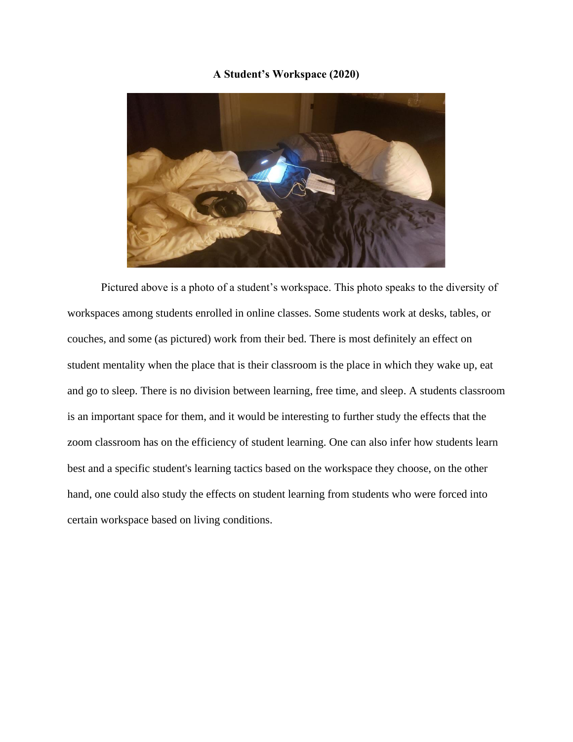## **A Student's Workspace (2020)**



Pictured above is a photo of a student's workspace. This photo speaks to the diversity of workspaces among students enrolled in online classes. Some students work at desks, tables, or couches, and some (as pictured) work from their bed. There is most definitely an effect on student mentality when the place that is their classroom is the place in which they wake up, eat and go to sleep. There is no division between learning, free time, and sleep. A students classroom is an important space for them, and it would be interesting to further study the effects that the zoom classroom has on the efficiency of student learning. One can also infer how students learn best and a specific student's learning tactics based on the workspace they choose, on the other hand, one could also study the effects on student learning from students who were forced into certain workspace based on living conditions.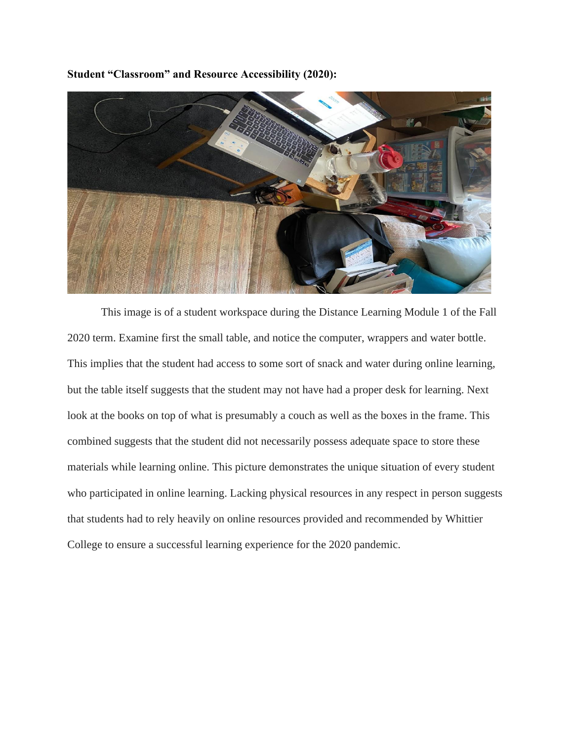**Student "Classroom" and Resource Accessibility (2020):**



This image is of a student workspace during the Distance Learning Module 1 of the Fall 2020 term. Examine first the small table, and notice the computer, wrappers and water bottle. This implies that the student had access to some sort of snack and water during online learning, but the table itself suggests that the student may not have had a proper desk for learning. Next look at the books on top of what is presumably a couch as well as the boxes in the frame. This combined suggests that the student did not necessarily possess adequate space to store these materials while learning online. This picture demonstrates the unique situation of every student who participated in online learning. Lacking physical resources in any respect in person suggests that students had to rely heavily on online resources provided and recommended by Whittier College to ensure a successful learning experience for the 2020 pandemic.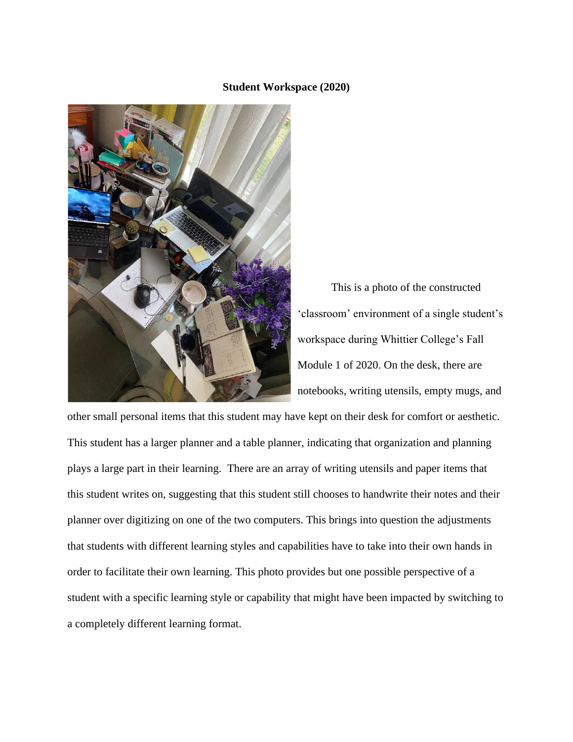#### **Student Workspace (2020)**



This is a photo of the constructed 'classroom' environment of a single student's workspace during Whittier College's Fall Module 1 of 2020. On the desk, there are notebooks, writing utensils, empty mugs, and

other small personal items that this student may have kept on their desk for comfort or aesthetic. This student has a larger planner and a table planner, indicating that organization and planning plays a large part in their learning. There are an array of writing utensils and paper items that this student writes on, suggesting that this student still chooses to handwrite their notes and their planner over digitizing on one of the two computers. This brings into question the adjustments that students with different learning styles and capabilities have to take into their own hands in order to facilitate their own learning. This photo provides but one possible perspective of a student with a specific learning style or capability that might have been impacted by switching to a completely different learning format.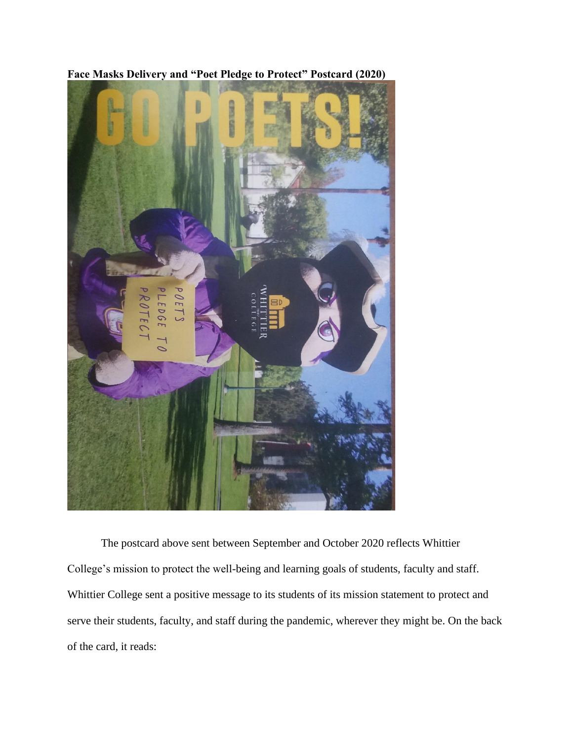

**Face Masks Delivery and "Poet Pledge to Protect" Postcard (2020)**

The postcard above sent between September and October 2020 reflects Whittier College's mission to protect the well-being and learning goals of students, faculty and staff. Whittier College sent a positive message to its students of its mission statement to protect and serve their students, faculty, and staff during the pandemic, wherever they might be. On the back of the card, it reads: